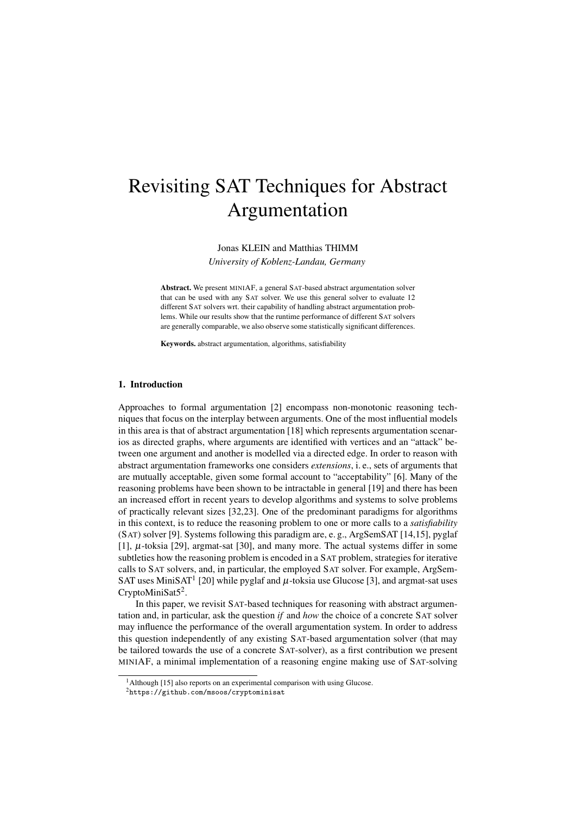# Revisiting SAT Techniques for Abstract Argumentation

Jonas KLEIN and Matthias THIMM

*University of Koblenz-Landau, Germany*

Abstract. We present MINIAF, a general SAT-based abstract argumentation solver that can be used with any SAT solver. We use this general solver to evaluate 12 different SAT solvers wrt. their capability of handling abstract argumentation problems. While our results show that the runtime performance of different SAT solvers are generally comparable, we also observe some statistically significant differences.

Keywords. abstract argumentation, algorithms, satisfiability

## 1. Introduction

Approaches to formal argumentation [2] encompass non-monotonic reasoning techniques that focus on the interplay between arguments. One of the most influential models in this area is that of abstract argumentation [18] which represents argumentation scenarios as directed graphs, where arguments are identified with vertices and an "attack" between one argument and another is modelled via a directed edge. In order to reason with abstract argumentation frameworks one considers *extensions*, i. e., sets of arguments that are mutually acceptable, given some formal account to "acceptability" [6]. Many of the reasoning problems have been shown to be intractable in general [19] and there has been an increased effort in recent years to develop algorithms and systems to solve problems of practically relevant sizes [32,23]. One of the predominant paradigms for algorithms in this context, is to reduce the reasoning problem to one or more calls to a *satisfiability* (SAT) solver [9]. Systems following this paradigm are, e. g., ArgSemSAT [14,15], pyglaf [1],  $\mu$ -toksia [29], argmat-sat [30], and many more. The actual systems differ in some subtleties how the reasoning problem is encoded in a SAT problem, strategies for iterative calls to SAT solvers, and, in particular, the employed SAT solver. For example, ArgSem-SAT uses MiniSAT<sup>1</sup> [20] while pyglaf and  $\mu$ -toksia use Glucose [3], and argmat-sat uses CryptoMiniSat $5^2$ .

In this paper, we revisit SAT-based techniques for reasoning with abstract argumentation and, in particular, ask the question *if* and *how* the choice of a concrete SAT solver may influence the performance of the overall argumentation system. In order to address this question independently of any existing SAT-based argumentation solver (that may be tailored towards the use of a concrete SAT-solver), as a first contribution we present MINIAF, a minimal implementation of a reasoning engine making use of SAT-solving

 $<sup>1</sup>$ Although [15] also reports on an experimental comparison with using Glucose.</sup>

<sup>2</sup>https://github.com/msoos/cryptominisat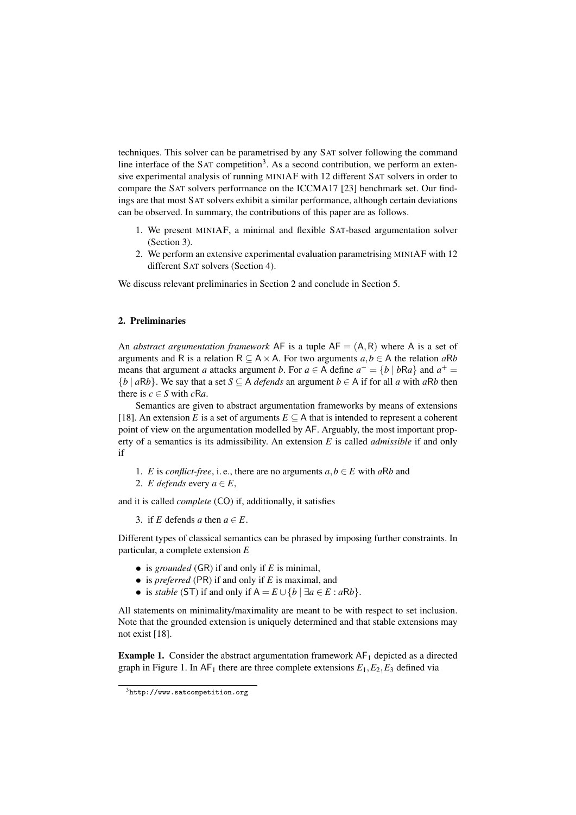techniques. This solver can be parametrised by any SAT solver following the command line interface of the SAT competition<sup>3</sup>. As a second contribution, we perform an extensive experimental analysis of running MINIAF with 12 different SAT solvers in order to compare the SAT solvers performance on the ICCMA17 [23] benchmark set. Our findings are that most SAT solvers exhibit a similar performance, although certain deviations can be observed. In summary, the contributions of this paper are as follows.

- 1. We present MINIAF, a minimal and flexible SAT-based argumentation solver (Section 3).
- 2. We perform an extensive experimental evaluation parametrising MINIAF with 12 different SAT solvers (Section 4).

We discuss relevant preliminaries in Section 2 and conclude in Section 5.

## 2. Preliminaries

An *abstract argumentation framework* AF is a tuple  $AF = (A, R)$  where A is a set of arguments and R is a relation  $R \subseteq A \times A$ . For two arguments  $a, b \in A$  the relation  $aRb$ means that argument *a* attacks argument *b*. For  $a \in A$  define  $a^- = \{b \mid bRa\}$  and  $a^+ =$  ${b \mid aRb}$ . We say that a set  $S \subseteq A$  *defends* an argument  $b \in A$  if for all *a* with *aRb* then there is  $c \in S$  with  $cRa$ .

Semantics are given to abstract argumentation frameworks by means of extensions [18]. An extension *E* is a set of arguments  $E \subseteq A$  that is intended to represent a coherent point of view on the argumentation modelled by AF. Arguably, the most important property of a semantics is its admissibility. An extension *E* is called *admissible* if and only if

1. *E* is *conflict-free*, i. e., there are no arguments  $a, b \in E$  with  $aRb$  and 2. *E* defends every  $a \in E$ ,

and it is called *complete* (CO) if, additionally, it satisfies

3. if *E* defends *a* then  $a \in E$ .

Different types of classical semantics can be phrased by imposing further constraints. In particular, a complete extension *E*

- is *grounded* (GR) if and only if *E* is minimal,
- is *preferred* (PR) if and only if *E* is maximal, and
- is *stable* (ST) if and only if  $A = E \cup \{b \mid \exists a \in E : aRb\}.$

All statements on minimality/maximality are meant to be with respect to set inclusion. Note that the grounded extension is uniquely determined and that stable extensions may not exist [18].

**Example 1.** Consider the abstract argumentation framework  $AF<sub>1</sub>$  depicted as a directed graph in Figure 1. In  $AF_1$  there are three complete extensions  $E_1, E_2, E_3$  defined via

<sup>3</sup>http://www.satcompetition.org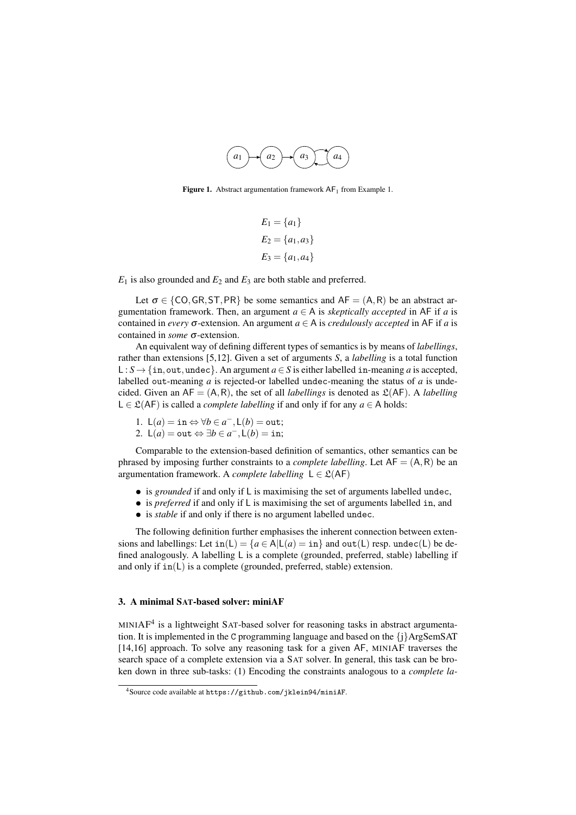

Figure 1. Abstract argumentation framework  $AF<sub>1</sub>$  from Example 1.

$$
E_1 = \{a_1\}
$$
  
\n
$$
E_2 = \{a_1, a_3\}
$$
  
\n
$$
E_3 = \{a_1, a_4\}
$$

 $E_1$  is also grounded and  $E_2$  and  $E_3$  are both stable and preferred.

Let  $\sigma \in \{CO, GR, ST, PR\}$  be some semantics and  $AF = (A, R)$  be an abstract argumentation framework. Then, an argument  $a \in A$  is *skeptically accepted* in AF if *a* is contained in *every*  $\sigma$ -extension. An argument  $a \in A$  is *credulously accepted* in AF if *a* is contained in *some* σ-extension.

An equivalent way of defining different types of semantics is by means of *labellings*, rather than extensions [5,12]. Given a set of arguments *S*, a *labelling* is a total function L : *S* → {in, out, undec}. An argument  $a \in S$  is either labelled in-meaning *a* is accepted, labelled out-meaning *a* is rejected-or labelled undec-meaning the status of *a* is undecided. Given an  $AF = (A, R)$ , the set of all *labellings* is denoted as  $\mathfrak{L}(AF)$ . A *labelling* L ∈  $\mathcal{L}(AF)$  is called a *complete labelling* if and only if for any *a* ∈ A holds:

1. 
$$
L(a) = \text{in} \Leftrightarrow \forall b \in a^{-}, L(b) = \text{out};
$$
  
2.  $L(a) = \text{out} \Leftrightarrow \exists b \in a^{-}, L(b) = \text{in};$ 

Comparable to the extension-based definition of semantics, other semantics can be phrased by imposing further constraints to a *complete labelling*. Let  $AF = (A, R)$  be an argumentation framework. A *complete labelling*  $L \in \mathcal{L}(AF)$ 

- is *grounded* if and only if L is maximising the set of arguments labelled undec,
- is *preferred* if and only if L is maximising the set of arguments labelled in, and
- is *stable* if and only if there is no argument labelled undec.

The following definition further emphasises the inherent connection between extensions and labellings: Let  $in(L) = {a \in A | L(a) = in}$  and out(L) resp. undec(L) be defined analogously. A labelling L is a complete (grounded, preferred, stable) labelling if and only if in(L) is a complete (grounded, preferred, stable) extension.

## 3. A minimal SAT-based solver: miniAF

MINIAF<sup>4</sup> is a lightweight SAT-based solver for reasoning tasks in abstract argumentation. It is implemented in the C programming language and based on the  $\{i\}$ ArgSemSAT [14,16] approach. To solve any reasoning task for a given AF, MINIAF traverses the search space of a complete extension via a SAT solver. In general, this task can be broken down in three sub-tasks: (1) Encoding the constraints analogous to a *complete la-*

<sup>4</sup>Source code available at https://github.com/jklein94/miniAF.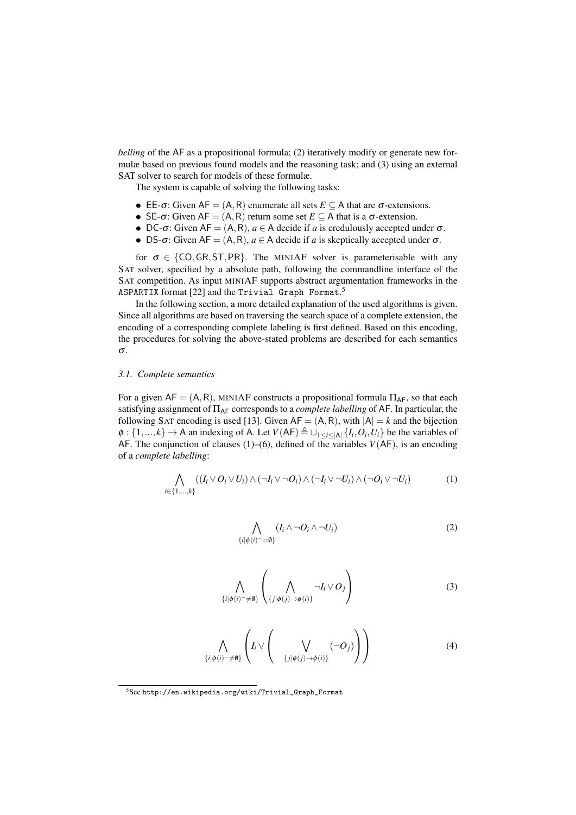*belling* of the AF as a propositional formula; (2) iteratively modify or generate new formulæ based on previous found models and the reasoning task; and (3) using an external SAT solver to search for models of these formulæ.

The system is capable of solving the following tasks:

- EE- $\sigma$ : Given AF = (A, R) enumerate all sets  $E \subseteq A$  that are  $\sigma$ -extensions.
- SE- $\sigma$ : Given AF = (A, R) return some set  $E \subseteq A$  that is a  $\sigma$ -extension.
- DC- $\sigma$ : Given AF = (A, R),  $a \in A$  decide if *a* is credulously accepted under  $\sigma$ .
- DS- $\sigma$ : Given AF = (A, R),  $a \in A$  decide if *a* is skeptically accepted under  $\sigma$ .

for  $\sigma \in \{CO, GR, ST, PR\}$ . The MINIAF solver is parameterisable with any SAT solver, specified by a absolute path, following the commandline interface of the SAT competition. As input MINIAF supports abstract argumentation frameworks in the ASPARTIX format [22] and the Trivial Graph Format.<sup>5</sup>

In the following section, a more detailed explanation of the used algorithms is given. Since all algorithms are based on traversing the search space of a complete extension, the encoding of a corresponding complete labeling is first defined. Based on this encoding, the procedures for solving the above-stated problems are described for each semantics σ.

## *3.1. Complete semantics*

For a given  $AF = (A, R)$ , MINIAF constructs a propositional formula  $\Pi_{AF}$ , so that each satisfying assignment of ΠAF corresponds to a *complete labelling* of AF. In particular, the following SAT encoding is used [13]. Given  $AF = (A, R)$ , with  $|A| = k$  and the bijection  $\phi: \{1,...,k\} \to A$  an indexing of A. Let  $V(AF) \triangleq \bigcup_{1 \leq i \leq |A|} \{I_i, O_i, U_i\}$  be the variables of AF. The conjunction of clauses (1)–(6), defined of the variables  $V(AF)$ , is an encoding of a *complete labelling*:

$$
\bigwedge_{i\in\{1,\ldots,k\}} ((I_i \vee O_i \vee U_i) \wedge (\neg I_i \vee \neg O_i) \wedge (\neg I_i \vee \neg U_i) \wedge (\neg O_i \vee \neg U_i)
$$
\n(1)

$$
\bigwedge_{\{i|\phi(i)^{-}=\emptyset\}} (I_i \wedge \neg O_i \wedge \neg U_i)
$$
\n(2)

$$
\bigwedge_{\{i|\phi(i) = \neq \emptyset\}} \left( \bigwedge_{\{j|\phi(j) \to \phi(i)\}} \neg I_i \vee O_j \right) \tag{3}
$$

$$
\bigwedge_{\{i|\phi(i) = \neq \emptyset\}} \left( I_i \vee \left( \bigvee_{\{j|\phi(j) \to \phi(i)\}} (\neg O_j) \right) \right) \tag{4}
$$

 ${\rm ^5See}$ http://en.wikipedia.org/wiki/Trivial\_Graph\_Format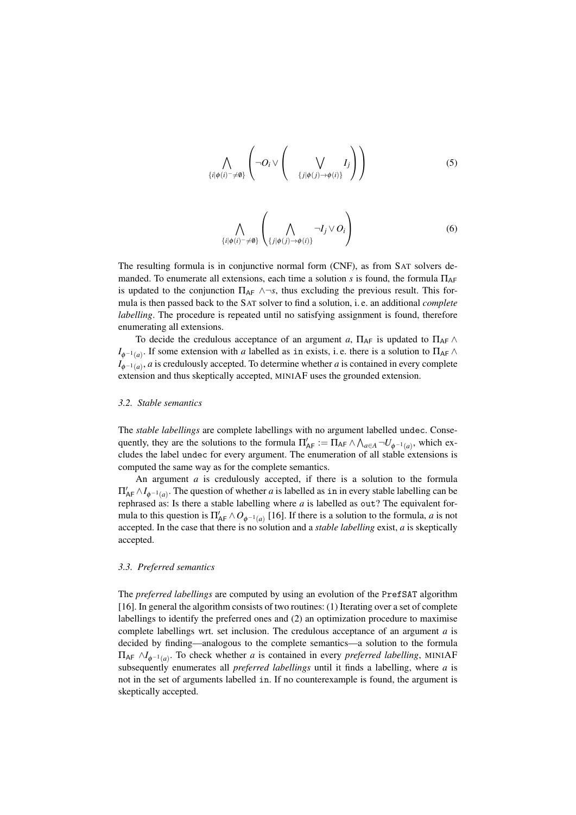$$
\bigwedge_{\{i|\phi(i)^{-}\neq\emptyset\}}\left(\neg O_i\vee\left(\bigvee_{\{j|\phi(j)\to\phi(i)\}}I_j\right)\right) \tag{5}
$$

$$
\bigwedge_{\{i|\phi(i) = \neq \emptyset\}} \left( \bigwedge_{\{j|\phi(j) \to \phi(i)\}} \neg I_j \vee O_i \right) \tag{6}
$$

The resulting formula is in conjunctive normal form (CNF), as from SAT solvers demanded. To enumerate all extensions, each time a solution *s* is found, the formula  $\Pi_{AF}$ is updated to the conjunction  $\Pi_{AF} \wedge \neg s$ , thus excluding the previous result. This formula is then passed back to the SAT solver to find a solution, i. e. an additional *complete labelling*. The procedure is repeated until no satisfying assignment is found, therefore enumerating all extensions.

To decide the credulous acceptance of an argument *a*,  $\Pi_{AF}$  is updated to  $\Pi_{AF}$   $\wedge$  $I_{\phi^{-1}(a)}$ . If some extension with *a* labelled as in exists, i.e. there is a solution to  $\Pi_{AF} \wedge$ *I*<sub>φ</sub>−1(*a*), *a* is credulously accepted. To determine whether *a* is contained in every complete extension and thus skeptically accepted, MINIAF uses the grounded extension.

## *3.2. Stable semantics*

The *stable labellings* are complete labellings with no argument labelled undec. Consequently, they are the solutions to the formula  $\Pi'_{AF} := \Pi_{AF} \wedge \bigwedge_{a \in A} \neg U_{\phi^{-1}(a)}$ , which excludes the label undec for every argument. The enumeration of all stable extensions is computed the same way as for the complete semantics.

An argument *a* is credulously accepted, if there is a solution to the formula  $\Pi'_{AF} \wedge I_{\phi^{-1}(a)}$ . The question of whether *a* is labelled as in in every stable labelling can be rephrased as: Is there a stable labelling where *a* is labelled as out? The equivalent formula to this question is  $\Pi'_{AF} \wedge O_{\phi^{-1}(a)}$  [16]. If there is a solution to the formula, *a* is not accepted. In the case that there is no solution and a *stable labelling* exist, *a* is skeptically accepted.

## *3.3. Preferred semantics*

The *preferred labellings* are computed by using an evolution of the PrefSAT algorithm [16]. In general the algorithm consists of two routines: (1) Iterating over a set of complete labellings to identify the preferred ones and (2) an optimization procedure to maximise complete labellings wrt. set inclusion. The credulous acceptance of an argument *a* is decided by finding—analogous to the complete semantics—a solution to the formula  $\Pi_{AF} \wedge I_{\phi^{-1}(a)}$ . To check whether *a* is contained in every *preferred labelling*, MINIAF subsequently enumerates all *preferred labellings* until it finds a labelling, where *a* is not in the set of arguments labelled in. If no counterexample is found, the argument is skeptically accepted.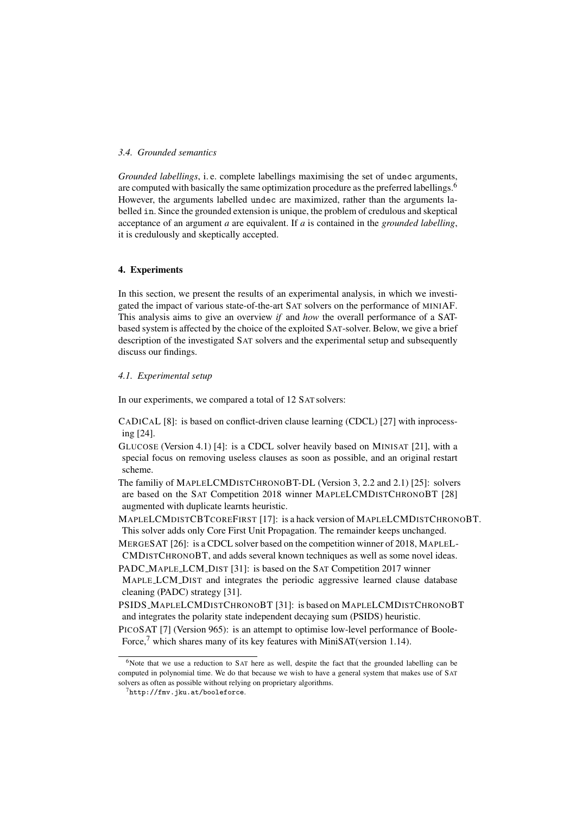## *3.4. Grounded semantics*

*Grounded labellings*, i. e. complete labellings maximising the set of undec arguments, are computed with basically the same optimization procedure as the preferred labellings.<sup>6</sup> However, the arguments labelled undec are maximized, rather than the arguments labelled in. Since the grounded extension is unique, the problem of credulous and skeptical acceptance of an argument *a* are equivalent. If *a* is contained in the *grounded labelling*, it is credulously and skeptically accepted.

## 4. Experiments

In this section, we present the results of an experimental analysis, in which we investigated the impact of various state-of-the-art SAT solvers on the performance of MINIAF. This analysis aims to give an overview *if* and *how* the overall performance of a SATbased system is affected by the choice of the exploited SAT-solver. Below, we give a brief description of the investigated SAT solvers and the experimental setup and subsequently discuss our findings.

#### *4.1. Experimental setup*

In our experiments, we compared a total of 12 SAT solvers:

CADICAL [8]: is based on conflict-driven clause learning (CDCL) [27] with inprocessing [24].

GLUCOSE (Version 4.1) [4]: is a CDCL solver heavily based on MINISAT [21], with a special focus on removing useless clauses as soon as possible, and an original restart scheme.

The familiy of MAPLELCMDISTCHRONOBT-DL (Version 3, 2.2 and 2.1) [25]: solvers are based on the SAT Competition 2018 winner MAPLELCMDISTCHRONOBT [28] augmented with duplicate learnts heuristic.

MAPLELCMDISTCBTCOREFIRST [17]: is a hack version of MAPLELCMDISTCHRONOBT. This solver adds only Core First Unit Propagation. The remainder keeps unchanged.

MERGESAT [26]: is a CDCL solver based on the competition winner of 2018, MAPLEL-CMDISTCHRONOBT, and adds several known techniques as well as some novel ideas.

PADC\_MAPLE\_LCM\_DIST [31]: is based on the SAT Competition 2017 winner MAPLE LCM DIST and integrates the periodic aggressive learned clause database cleaning (PADC) strategy [31].

PSIDS MAPLELCMDISTCHRONOBT [31]: is based on MAPLELCMDISTCHRONOBT and integrates the polarity state independent decaying sum (PSIDS) heuristic.

PICOSAT [7] (Version 965): is an attempt to optimise low-level performance of Boole-Force, $\frac{7}{1}$  which shares many of its key features with MiniSAT(version 1.14).

 $6$ Note that we use a reduction to SAT here as well, despite the fact that the grounded labelling can be computed in polynomial time. We do that because we wish to have a general system that makes use of SAT solvers as often as possible without relying on proprietary algorithms.

 $7$ http://fmv.jku.at/booleforce.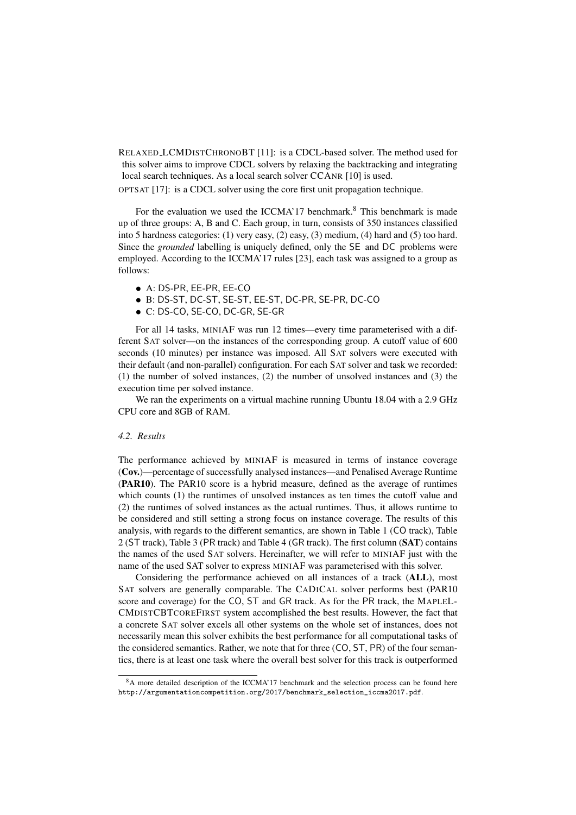RELAXED LCMDISTCHRONOBT [11]: is a CDCL-based solver. The method used for this solver aims to improve CDCL solvers by relaxing the backtracking and integrating local search techniques. As a local search solver CCANR [10] is used.

OPTSAT [17]: is a CDCL solver using the core first unit propagation technique.

For the evaluation we used the ICCMA'17 benchmark.<sup>8</sup> This benchmark is made up of three groups: A, B and C. Each group, in turn, consists of 350 instances classified into 5 hardness categories: (1) very easy, (2) easy, (3) medium, (4) hard and (5) too hard. Since the *grounded* labelling is uniquely defined, only the SE and DC problems were employed. According to the ICCMA'17 rules [23], each task was assigned to a group as follows:

- A: DS-PR, EE-PR, EE-CO
- B: DS-ST, DC-ST, SE-ST, EE-ST, DC-PR, SE-PR, DC-CO
- C: DS-CO, SE-CO, DC-GR, SE-GR

For all 14 tasks, MINIAF was run 12 times—every time parameterised with a different SAT solver—on the instances of the corresponding group. A cutoff value of 600 seconds (10 minutes) per instance was imposed. All SAT solvers were executed with their default (and non-parallel) configuration. For each SAT solver and task we recorded: (1) the number of solved instances, (2) the number of unsolved instances and (3) the execution time per solved instance.

We ran the experiments on a virtual machine running Ubuntu 18.04 with a 2.9 GHz CPU core and 8GB of RAM.

## *4.2. Results*

The performance achieved by MINIAF is measured in terms of instance coverage (Cov.)—percentage of successfully analysed instances—and Penalised Average Runtime (PAR10). The PAR10 score is a hybrid measure, defined as the average of runtimes which counts (1) the runtimes of unsolved instances as ten times the cutoff value and (2) the runtimes of solved instances as the actual runtimes. Thus, it allows runtime to be considered and still setting a strong focus on instance coverage. The results of this analysis, with regards to the different semantics, are shown in Table 1 (CO track), Table 2 (ST track), Table 3 (PR track) and Table 4 (GR track). The first column (SAT) contains the names of the used SAT solvers. Hereinafter, we will refer to MINIAF just with the name of the used SAT solver to express MINIAF was parameterised with this solver.

Considering the performance achieved on all instances of a track (ALL), most SAT solvers are generally comparable. The CADICAL solver performs best (PAR10 score and coverage) for the CO, ST and GR track. As for the PR track, the MAPLEL-CMDISTCBTCOREFIRST system accomplished the best results. However, the fact that a concrete SAT solver excels all other systems on the whole set of instances, does not necessarily mean this solver exhibits the best performance for all computational tasks of the considered semantics. Rather, we note that for three (CO, ST, PR) of the four semantics, there is at least one task where the overall best solver for this track is outperformed

<sup>&</sup>lt;sup>8</sup>A more detailed description of the ICCMA'17 benchmark and the selection process can be found here http://argumentationcompetition.org/2017/benchmark\_selection\_iccma2017.pdf.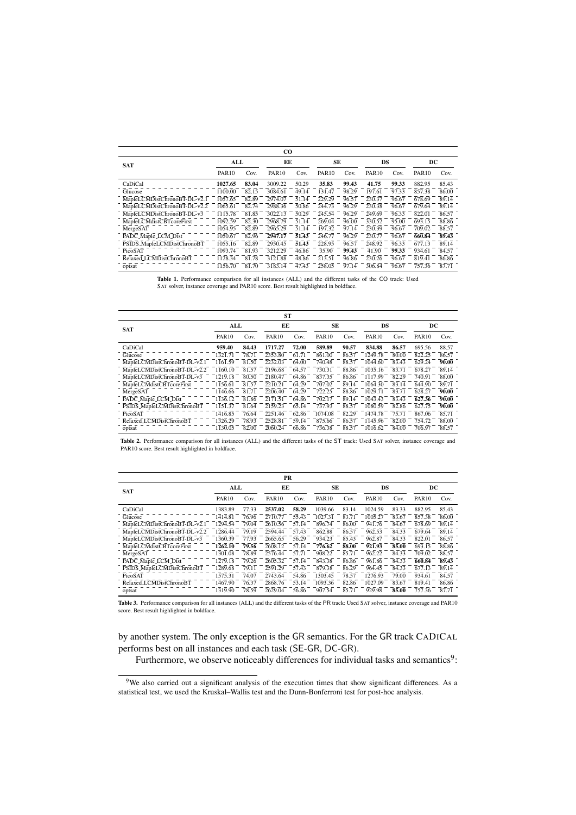|                              |              |       | CO.          |       |              |       |              |       |              |       |
|------------------------------|--------------|-------|--------------|-------|--------------|-------|--------------|-------|--------------|-------|
| <b>SAT</b>                   | ALL          |       | ЕE           |       | SE           |       | DS           |       | DC           |       |
|                              | <b>PAR10</b> | Cov.  | <b>PAR10</b> | Cov.  | <b>PAR10</b> | Cov.  | <b>PAR10</b> | Cov.  | <b>PAR10</b> | Cov.  |
| CaDiCal                      | 1027.65      | 83.04 | 3009.22      | 50.29 | 35.83        | 99.43 | 41.75        | 99.33 | 882.95       | 85.43 |
| Glucose                      | 1100.00      | 82.15 | 3084.61      | 49.14 | 131.47       | 98.29 | 197.61       | 97.33 | 857.38       | 86.00 |
| MapleLCMDistChronoBT-DL-v2.1 | 1057.65      | 82.89 | 2974.07      | 51.14 | 229.29       | 96.57 | 230.37       | 96.67 | 678.69       | 89.14 |
| MapleLCMDistChronoBT-DL-v2.2 | 1065.61      | 82.74 | 2988.36      | 50.86 | 244.73       | 96.29 | 230.38       | 96.67 | 679.64       | 89.14 |
| MapleLCMDistChronoBT-DL-v3   | 1115.78      | 81.85 | 3022.13      | 50.29 | 245.54       | 96.29 | 249.69       | 96.33 | 822.01       | 86.57 |
| MapleLCMdistCBTcoreFirst     | 1092.59      | 82.30 | 2968.79      | 51.14 | 269.04       | 96.00 | 330.52       | 95.00 | 693.15       | 88.86 |
| MergeSAT                     | 1054.95      | 82.89 | 2965.29      | 51.14 | 197.32       | 97.14 | 230.39       | 96.67 | 709.02       | 88.57 |
| PADC_Maple_LCM_Dist          | 1050.67      | 82.96 | 2947.17      | 51.43 | 246.77       | 96.29 | 230.77       | 96.67 | 660.84       | 89.43 |
| PSIDS_MapleLCMDistChronoBT   | 1055.16      | 82.89 | 2950.45      | 51.43 | 228.95       | 96.57 | 248.92       | 96.33 | 677.13       | 89.14 |
| PicoSAT                      | 1093.74      | 81.93 | 3212.29      | 46.86 | 35.90        | 99.43 | 41.90        | 99.33 | 934.61       | 84.57 |
| Relaxed LCMDistChronoBT      | 1128.34      | 81.78 | 3121.88      | 48.86 | 213.51       | 96.86 | 230.26       | 96.67 | 819.41       | 86.86 |
| optsat                       | 1156.70      | 81.70 | 3183.14      | 47.43 | 258.05       | 97.14 | 306.84       | 96.67 | 757.36       | 87.71 |

Table 1. Performance comparison for all instances (ALL) and the different tasks of the CO track: Used SAT solver, instance coverage and PAR10 score. Best result highlighted in boldface.

|                              |              |       | ST           |       |              |       |              |       |              |       |
|------------------------------|--------------|-------|--------------|-------|--------------|-------|--------------|-------|--------------|-------|
| <b>SAT</b>                   | ALL          |       | ЕE           |       | SE           |       | DS           |       | DC           |       |
|                              | <b>PAR10</b> | Cov.  | <b>PAR10</b> | Cov.  | <b>PAR10</b> | Cov.  | <b>PAR10</b> | Cov.  | <b>PAR10</b> | Cov.  |
| CaDiCal                      | 959.40       | 84.43 | 1717.27      | 72.00 | 589.89       | 90.57 | 834.88       | 86.57 | 695.56       | 88.57 |
| Glucose                      | 1321.71      | 78.71 | 2353.80      | 61.71 | 861.00       | 86.57 | 1249.78      | 80.00 | 822.25       | 86.57 |
| MapleLCMDistChronoBT-DL-v2.1 | 1161.59      | 81.50 | 2232.03      | 64.00 | 740.48       | 88.57 | 1044.60      | 83.43 | 629.24       | 90.00 |
| MapleLCMDistChronoBT-DL-v2.2 | 1160.10      | 81.57 | 2196.68      | 64.57 | 730.31       | 88.86 | 1035.16      | 83.71 | 678.27       | 89.14 |
| MapleLCMDistChronoBT-DL-v3   | 1219.18      | 80.50 | 2180.47      | 64.86 | 837.35       | 86.86 | 1117.99      | 82.29 | 740.91       | 88.00 |
| MapleLCMdistCBTcoreFirst     | 1156.61      | 81.57 | 2210.21      | 64.29 | 707.02       | 89.14 | 1064.30      | 83.14 | 644.90       | 89.71 |
| MergeSAT                     | 1146.66      | 81.71 | 2206.40      | 64.29 | 722.25       | 88.86 | 1029.71      | 83.71 | 628.27       | 90.00 |
| PADC_Maple_LCM_Dist          | 1136.12      | 81.86 | 2171.51      | 64.86 | 702.17       | 89.14 | 1043.43      | 83.43 | 627.36       | 90.00 |
| PSIDS_MapleLCMDistChronoBT   | 1151.37      | 81.64 | 2159.23      | 65.14 | 737.93       | 88.57 | 1080.59      | 82.86 | 627.75       | 90.00 |
| PicoSAT                      | 1416.85      | 76.64 | 2251.46      | 62.86 | 1074.08      | 82.29 | 1474.78      | 75.71 | 867.06       | 85.71 |
| Relaxed_LCMDistChronoBT      | 1326.29      | 78.93 | 2528.81      | 59.14 | 875.66       | 86.57 | 1145.96      | 82.00 | 754.72       | 88.00 |
| optsat                       | 1130.05      | 82.00 | 2060.24      | 66.86 | 736.38       | 88.57 | 1016.62      | 84.00 | 706.97       | 88.57 |

Table 2. Performance comparison for all instances (ALL) and the different tasks of the ST track: Used SAT solver, instance coverage and PAR10 score. Best result highlighted in boldface.

| PR                           |              |       |              |       |              |       |              |       |              |       |  |
|------------------------------|--------------|-------|--------------|-------|--------------|-------|--------------|-------|--------------|-------|--|
| <b>SAT</b>                   | ALL          | ЕE    |              |       |              | SE    | DS           |       | DC           |       |  |
|                              | <b>PAR10</b> | Cov.  | <b>PAR10</b> | Cov.  | <b>PAR10</b> | Cov.  | <b>PAR10</b> | Cov.  | <b>PAR10</b> | Cov.  |  |
| CaDiCal                      | 1383.89      | 77.33 | 2537.02      | 58.29 | 1039.66      | 83.14 | 1024.59      | 83.33 | 882.95       | 85.43 |  |
| Glucose                      | 1414.81      | 76.96 | 2710.77      | 55.43 | 1027.31      | 83.71 | 1005.27      | 83.67 | 857.38       | 86.00 |  |
| MapleLCMDistChronoBT-DL-v2.1 | 1294.54      | 79.04 | 2610.56      | 57.14 | 896.74       | 86.00 | 941.76       | 84.67 | 678.69       | 89.14 |  |
| MapleLCMDistChronoBT-DL-v2.2 | 1286.44      | 79.19 | 2594.44      | 57.43 | 862.88       | 86.57 | 962.53       | 84.33 | 679.64       | 89.14 |  |
| MapleLCMDistChronoBT-DL-v3   | 1360.39      | 77.93 | 2665.65      | 56.29 | 934.23       | 85.43 | 962.87       | 84.33 | 822.01       | 86.57 |  |
| MapleLCMdistCBTcoreFirst     | 1262.10      | 79.56 | 2608.12      | 57.14 | 776.62       | 88.00 | 921.93       | 85.00 | 693.15       | 88.86 |  |
| MergeSAT                     | 1301.08      | 78.89 | 2576.44      | 57.71 | 908.22       | 85.71 | 962.22       | 84.33 | 709.02       | 88.57 |  |
| PADC_Maple_LCM_Dist          | 1279.18      | 79.26 | 2605.32      | 57.14 | 843.38       | 86.86 | 961.86       | 84.33 | 660.84       | 89.43 |  |
| PSIDS_MapleLCMDistChronoBT   | 1289.68      | 79.11 | 2591.29      | 57.43 | 879.38       | 86.29 | 964.45       | 84.33 | 677.13       | 89.14 |  |
| PicoSAT                      | 1575.31      | 74.07 | 2743.64      | 54.86 | 1303.45      | 78.57 | 1276.93      | 79.00 | 934.61       | 84.57 |  |
| Relaxed_LCMDistChronoBT      | 1467.90      | 76.37 | 2868.76      | 53.14 | 1093.36      | 82.86 | 1027.09      | 83.67 | 819.41       | 86.86 |  |
| optsat                       | 1319.90      | 78.59 | 2629.04      | 56.86 | 907.54       | 85.71 | 929.98       | 85.00 | 757.36       | 87.71 |  |

Table 3. Performance comparison for all instances (ALL) and the different tasks of the PR track: Used SAT solver, instance coverage and PAR10 score. Best result highlighted in boldface.

by another system. The only exception is the GR semantics. For the GR track CADICAL performs best on all instances and each task (SE-GR, DC-GR).

Furthermore, we observe noticeably differences for individual tasks and semantics<sup>9</sup>:

<sup>9</sup>We also carried out a significant analysis of the execution times that show significant differences. As a statistical test, we used the Kruskal–Wallis test and the Dunn-Bonferroni test for post-hoc analysis.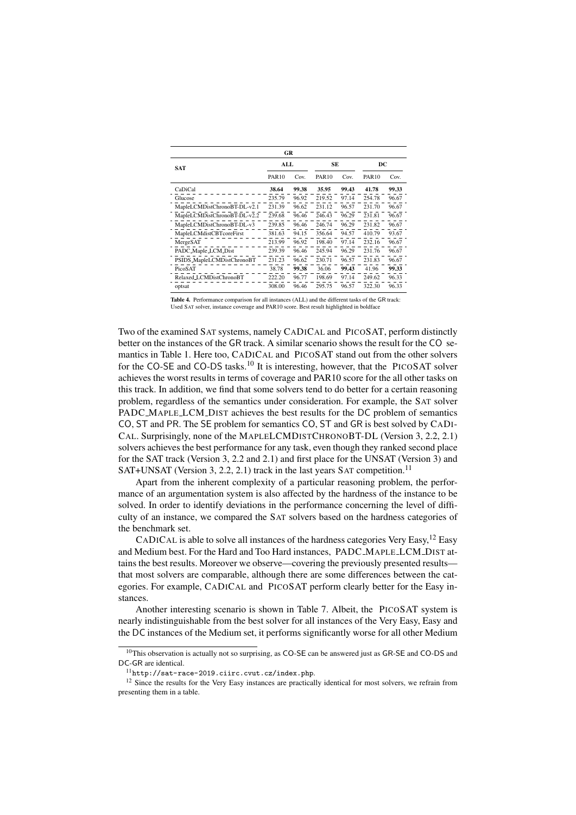| GR                                   |              |           |              |       |                   |       |  |  |  |  |
|--------------------------------------|--------------|-----------|--------------|-------|-------------------|-------|--|--|--|--|
| <b>SAT</b>                           |              | SE<br>ALL |              |       | DC                |       |  |  |  |  |
|                                      | <b>PAR10</b> | Cov.      | <b>PAR10</b> | Cov.  | PAR <sub>10</sub> | Cov.  |  |  |  |  |
| CaDiCal                              | 38.64        | 99.38     | 35.95        | 99.43 | 41.78             | 99.33 |  |  |  |  |
| Glucose                              | 235.79       | 96.92     | 219.52       | 97.14 | 254.78            | 96.67 |  |  |  |  |
| MapleLCMDistChronoBT-DL-v2.1         | 231.39       | 96.62     | 231.12       | 96.57 | 231.70            | 96.67 |  |  |  |  |
| MapleLCMDistChronoBT-DL-v2.2         | 239.68       | 96.46     | 246.43       | 96.29 | 231.81            | 96.67 |  |  |  |  |
| MapleLCMDistChronoBT-DL-v3           | 239.85       | 96.46     | 246.74       | 96.29 | 231.82            | 96.67 |  |  |  |  |
| MapleLCMdistCBTcoreFirst             | 381.63       | 94.15     | 356.64       | 94.57 | 410.79            | 93.67 |  |  |  |  |
| MergeSAT                             | 213.99       | 96.92     | 198.40       | 97.14 | 232.16            | 96.67 |  |  |  |  |
| PADC_Maple_LCM_Dist                  | 239.39       | 96.46     | 245.94       | 96.29 | 231.76            | 96.67 |  |  |  |  |
| PSIDS_MapleLCMDistChronoBT           | 231.23       | 96.62     | 230.71       | 96.57 | 231.83            | 96.67 |  |  |  |  |
| PicoSAT                              | 38.78        | 99.38     | 36.06        | 99.43 | 41.96             | 99.33 |  |  |  |  |
| Relaxed <sub>-L</sub> CMDistChronoBT | 222.20       | 96.77     | 198.69       | 97.14 | 249.62            | 96.33 |  |  |  |  |
| optsat                               | 308.00       | 96.46     | 295.75       | 96.57 | 322.30            | 96.33 |  |  |  |  |

Table 4. Performance comparison for all instances (ALL) and the different tasks of the GR track: Used SAT solver, instance coverage and PAR10 score. Best result highlighted in boldface

Two of the examined SAT systems, namely CADICAL and PICOSAT, perform distinctly better on the instances of the GR track. A similar scenario shows the result for the CO semantics in Table 1. Here too, CADICAL and PICOSAT stand out from the other solvers for the CO-SE and CO-DS tasks.<sup>10</sup> It is interesting, however, that the PICOSAT solver achieves the worst results in terms of coverage and PAR10 score for the all other tasks on this track. In addition, we find that some solvers tend to do better for a certain reasoning problem, regardless of the semantics under consideration. For example, the SAT solver PADC MAPLE LCM DIST achieves the best results for the DC problem of semantics CO, ST and PR. The SE problem for semantics CO, ST and GR is best solved by CADI-CAL. Surprisingly, none of the MAPLELCMDISTCHRONOBT-DL (Version 3, 2.2, 2.1) solvers achieves the best performance for any task, even though they ranked second place for the SAT track (Version 3, 2.2 and 2.1) and first place for the UNSAT (Version 3) and SAT+UNSAT (Version 3, 2.2, 2.1) track in the last years SAT competition.<sup>11</sup>

Apart from the inherent complexity of a particular reasoning problem, the performance of an argumentation system is also affected by the hardness of the instance to be solved. In order to identify deviations in the performance concerning the level of difficulty of an instance, we compared the SAT solvers based on the hardness categories of the benchmark set.

CADICAL is able to solve all instances of the hardness categories Very Easy,  $^{12}$  Easy and Medium best. For the Hard and Too Hard instances, PADC MAPLE LCM DIST attains the best results. Moreover we observe—covering the previously presented results that most solvers are comparable, although there are some differences between the categories. For example, CADICAL and PICOSAT perform clearly better for the Easy instances.

Another interesting scenario is shown in Table 7. Albeit, the PICOSAT system is nearly indistinguishable from the best solver for all instances of the Very Easy, Easy and the DC instances of the Medium set, it performs significantly worse for all other Medium

<sup>&</sup>lt;sup>10</sup>This observation is actually not so surprising, as CO-SE can be answered just as GR-SE and CO-DS and DC-GR are identical.

<sup>11</sup>http://sat-race-2019.ciirc.cvut.cz/index.php.

<sup>&</sup>lt;sup>12</sup> Since the results for the Very Easy instances are practically identical for most solvers, we refrain from presenting them in a table.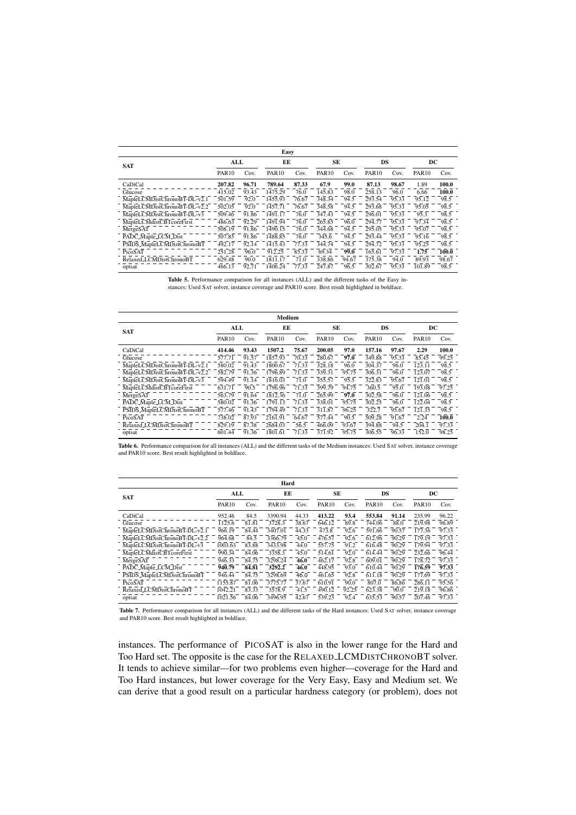| Easy                         |              |       |              |       |              |       |                     |       |              |       |
|------------------------------|--------------|-------|--------------|-------|--------------|-------|---------------------|-------|--------------|-------|
| <b>SAT</b>                   | ALL          |       | EE           |       | SE           |       | DS                  |       | DC           |       |
|                              | <b>PAR10</b> | Cov.  | <b>PAR10</b> | Cov.  | <b>PAR10</b> | Cov.  | <b>PAR10</b>        | Cov.  | <b>PAR10</b> | Cov.  |
| CaDiCal                      | 207.82       | 96.71 | 789.64       | 87.33 | 67.9         | 99.0  | 87.13               | 98.67 | 1.89         | 100.0 |
| Glucose                      | 415.02       | 93.43 | 1475.29      | 76.0  | 145.83       | 98.0  | 258.13              | 96.0  | 6.66         | 100.0 |
| MapleLCMDistChronoBT-DL-v2.1 | 501.59       | 92.0  | 1455.93      | 76.67 | 348.34       | 94.5  | $\overline{293.54}$ | 95.33 | 95.12        | 98.5  |
| MapleLCMDistChronoBT-DL-v2.2 | 502.05       | 92.0  | 1457.71      | 76.67 | 348.58       | 94.5  | 293.68              | 95.33 | 95.05        | 98.5  |
| MapleLCMDistChronoBT-DL-v3   | 509.46       | 91.86 | 1491.17      | 76.0  | 347.43       | 94.5  | 296.01              | 95.33 | 95.3         | 98.5  |
| MapleLCMdistCBTcoreFirst     | 486.63       | 92.29 | 1491.94      | 76.0  | 265.85       | 96.0  | 294.77              | 95.33 | 97.34        | 98.5  |
| MergeSAT                     | 508.19       | 91.86 | 1490.15      | 76.0  | 344.68       | 94.5  | 295.05              | 95.33 | 95.07        | 98.5  |
| PADC_Maple_LCM_Dist          | 507.85       | 91.86 | 1488.85      | 76.0  | 345.6        | 94.5  | $\overline{293.44}$ | 95.33 | 95.16        | 98.5  |
| PSIDS_MapleLCMDistChronoBT   | 492.17       | 92.14 | 1415.43      | 77.33 | 344.74       | 94.5  | 294.72              | 95.33 | 95.25        | 98.5  |
| PicoSAT                      | 251.28       | 96.0  | 912.25       | 85.33 | 69.34        | 99.0  | 165.61              | 97.33 | 1.75         | 100.0 |
| Relaxed LCMDistChronoBT      | 629.48       | 90.0  | 1811.17      | 71.0  | 338.86       | 94.67 | 375.38              | 94.0  | 89.93        | 98.67 |
| optsat                       | 466.13       | 92.71 | 1406.24      | 77.33 | 247.87       | 96.5  | 302.67              | 95.33 | 101.89       | 98.5  |

Table 5. Performance comparison for all instances (ALL) and the different tasks of the Easy instances: Used SAT solver, instance coverage and PAR10 score. Best result highlighted in boldface.

| Medium                       |              |       |              |       |              |       |              |       |              |       |
|------------------------------|--------------|-------|--------------|-------|--------------|-------|--------------|-------|--------------|-------|
| <b>SAT</b>                   | ALL          |       | EE           |       | SE           |       | DS           |       | DC           |       |
|                              | <b>PAR10</b> | Cov.  | <b>PAR10</b> | Cov.  | <b>PAR10</b> | Cov.  | <b>PAR10</b> | Cov.  | <b>PAR10</b> | Cov.  |
| CaDiCal                      | 414.46       | 93.43 | 1507.2       | 75.67 | 200.05       | 97.0  | 157.16       | 97.67 | 2.29         | 100.0 |
| Glucose                      | 577.71       | 91.57 | 1857.93      | 70.33 | 280.67       | 97.0  | 349.88       | 95.33 | 85.45        | 99.25 |
| MapleLCMDistChronoBT-DL-v2.1 | 580.02       | 91.43 | 1800.67      | 71.33 | 328.18       | 96.0  | 304.37       | 96.0  | 123.11       | 98.5  |
| MapleLCMDistChronoBT-DL-v2.2 | 582.79       | 91.36 | 1796.89      | 71.33 | 339.31       | 95.75 | 306.31       | 96.0  | 123.07       | 98.5  |
| MapleLCMDistChronoBT-DL-v3   | 594.49       | 91.14 | 1816.03      | 71.0  | 355.57       | 95.5  | 322.83       | 95.67 | 121.01       | 98.5  |
| MapleLCMdistCBTcoreFirst     | 631.71       | 90.5  | 1796.96      | 71.33 | 399.79       | 94.75 | 360.5        | 95.0  | 193.08       | 97.25 |
| MergeSAT                     | 563.79       | 91.64 | 1812.36      | 71.0  | 265.99       | 97.0  | 302.58       | 96.0  | 121.06       | 98.5  |
| PADC_Maple_LCM_Dist          | 580.02       | 91.36 | 1791.13      | 71.33 | 338.01       | 95.75 | 302.25       | 96.0  | 122.04       | 98.5  |
| PSIDS_MapleLCMDistChronoBT   | 577.46       | 91.43 | 1794.49      | 71.33 | 311.87       | 96.25 | 322.7        | 95.67 | 121.35       | 98.5  |
| PicoSAT                      | 738.02       | 87.93 | 2161.91      | 64.67 | 577.44       | 90.5  | 509.28       | 91.67 | 2.24         | 100.0 |
| Relaxed LCMDistChronoBT      | 829.19       | 87.38 | 2684.03      | 56.5  | 466.09       | 93.67 | 394.88       | 94.5  | 204.1        | 97.33 |
| optsat                       | 601.44       | 91.36 | 1801.61      | 71.33 | 371.92       | 95.75 | 306.55       | 96.33 | 152.0        | 98.25 |

Table 6. Performance comparison for all instances (ALL) and the different tasks of the Medium instances: Used SAT solver, instance coverage and PAR10 score. Best result highlighted in boldface.

|                              | Hard         |       |              |       |              |       |              |       |              |       |  |  |
|------------------------------|--------------|-------|--------------|-------|--------------|-------|--------------|-------|--------------|-------|--|--|
| <b>SAT</b>                   | ЕE<br>ALL    |       |              | SE    |              | DS    |              | DC    |              |       |  |  |
|                              | <b>PAR10</b> | Cov.  | <b>PAR10</b> | Cov.  | <b>PAR10</b> | Cov.  | <b>PAR10</b> | Cov.  | <b>PAR10</b> | Cov.  |  |  |
| CaDiCal                      | 952.46       | 84.5  | 3390.94      | 44.33 | 413.22       | 93.4  | 553.84       | 91.14 | 235.99       | 96.22 |  |  |
| Glucose                      | 1125.6       | 81.81 | 3728.3       | 38.67 | 646.12       | 89.8  | 744.06       | 88.0  | 219.98       | 96.89 |  |  |
| MapleLCMDistChronoBT-DL-v2.1 | 966.19       | 84.44 | 3407.01      | 44.33 | 473.8        | 92.6  | 591.66       | 90.57 | 177.36       | 97.33 |  |  |
| MapleLCMDistChronoBT-DL-v2.2 | 964.68       | 84.5  | 3366.79      | 45.0  | 476.57       | 92.6  | 612.96       | 90.29 | 179.19       | 97.33 |  |  |
| MapleLCMDistChronoBT-DL-v3   | 1003.63      | 83.88 | 3433.98      | 44.0  | 557.75       | 91.2  | 616.48       | 90.29 | 179.94       | 97.33 |  |  |
| MapleLCMdistCBTcoreFirst     | 990.34       | 84.06 | 3358.3       | 45.0  | 514.61       | 92.0  | 614.44       | 90.29 | 232.66       | 96.44 |  |  |
| MergeSAT                     | 946.33       | 84.75 | 3298.24      | 46.0  | 462.17       | 92.8  | 609.01       | 90.29 | 178.72       | 97.33 |  |  |
| PADC_Maple_LCM_Dist          | 940.79       | 84.81 | 3292.2       | 46.0  | 448.95       | 93.0  | 610.44       | 90.29 | 176.59       | 97.33 |  |  |
| PSIDS_MapleLCMDistChronoBT   | 946.44       | 84.75 | 3298.69      | 46.0  | 461.65       | 92.8  | 611.18       | 90.29 | 177.69       | 97.33 |  |  |
| PicoSAT                      | 1155.87      | 81.06 | 3775.77      | 37.67 | 610.91       | 90.0  | 807.0        | 86.86 | 286.11       | 95.56 |  |  |
| Relaxed LCMDistChronoBT      | 1042.21      | 83.33 | 3578.9       | 41.5  | 490.12       | 92.25 | 623.38       | 90.0  | 219.18       | 96.86 |  |  |
| optsat                       | 1021.56      | 84.06 | 3496.95      | 42.67 | 539.23       | 92.4  | 635.53       | 90.57 | 207.46       | 97.33 |  |  |

Table 7. Performance comparison for all instances (ALL) and the different tasks of the Hard instances: Used SAT solver, instance coverage and PAR10 score. Best result highlighted in boldface.

instances. The performance of PICOSAT is also in the lower range for the Hard and Too Hard set. The opposite is the case for the RELAXED LCMDISTCHRONOBT solver. It tends to achieve similar—for two problems even higher—coverage for the Hard and Too Hard instances, but lower coverage for the Very Easy, Easy and Medium set. We can derive that a good result on a particular hardness category (or problem), does not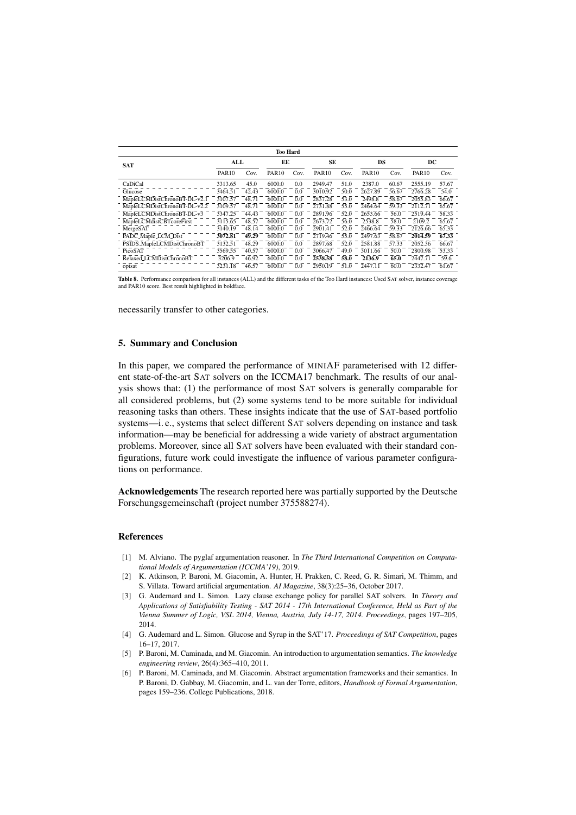| <b>Too Hard</b>              |              |       |              |      |              |                   |              |                    |              |       |
|------------------------------|--------------|-------|--------------|------|--------------|-------------------|--------------|--------------------|--------------|-------|
| <b>SAT</b>                   | ALL          |       | ЕE           |      | SE           |                   | DS           |                    | DC           |       |
|                              | <b>PAR10</b> | Cov.  | <b>PAR10</b> | Cov. | <b>PAR10</b> | Cov.              | <b>PAR10</b> | Cov.               | <b>PAR10</b> | Cov.  |
| CaDiCal                      | 3313.65      | 45.0  | 6000.0       | 0.0  | 2949.47      | 51.0              | 2387.0       | 60.67              | 2555.19      | 57.67 |
| Glucose                      | 3464.51      | 42.43 | 6000.0       | 0.0  | 3010.92      | 50.0              | 2627.89      | 56.67              | 2766.28      | 54.0  |
| MapleLCMDistChronoBT-DL-v2.1 | 3107.57      | 48.71 | 6000.0       | 0.0  | 2837.28      | 53.0              | 2498.8       | 58.67              | 2055.83      | 66.67 |
| MapleLCMDistChronoBT-DL-v2.2 | 3109.57      | 48.71 | 6000.0       | 0.0  | 2731.88      | 55.0              | 2464.64      | 59.33              | 2112.71      | 65.67 |
| MapleLCMDistChronoBT-DL-v3   | 3347.25      | 44.43 | 6000.0       | 0.0  | 2891.96      | 52.0              | 2653.66      | 56.0               | 2519.44      | 58.33 |
| MapleLCMdistCBTcoreFirst     | 3115.65      | 48.57 | 6000.0       | 0.0  | 2673.72      | 56.0              | 2538.8       | 58.0               | 2109.2       | 65.67 |
| MergeSAT                     | 3140.19      | 48.14 | 6000.0       | 0.0  | 2901.41      | 52.0              | 2466.64      | 59.33              | 2126.66      | 65.33 |
| PADC_Maple_LCM_Dist          | 3072.81      | 49.29 | 6000.0       | 0.0  | 2719.46      | 55.0              | 2497.63      | 58.67              | 2014.59      | 67.33 |
| PSIDS_MapleLCMDistChronoBT   | 3132.51      | 48.29 | 6000.0       | 0.0  | 2897.68      | $\overline{52.0}$ | 2581.88      | $57.\overline{33}$ | 2052.36      | 66.67 |
| PicoSAT                      | 3569.55      | 40.57 | 6000.0       | 0.0  | 3066.47      | 49.0              | 3011.66      | 50.0               | 2800.98      | 53.33 |
| Relaxed_LCMDistChronoBT      | 3206.9       | 46.92 | 6000.0       | 0.0  | 2538.58      | 58.0              | 2136.9       | 65.0               | 2447.71      | 59.6  |
| optsat                       | 3231.18      | 46.57 | 6000.0       | 0.0  | 2950.19      | 51.0              | 2447.11      | 60.0               | 2332.47      | 61.67 |

Table 8. Performance comparison for all instances (ALL) and the different tasks of the Too Hard instances: Used SAT solver, instance coverage and PAR10 score. Best result highlighted in boldface.

necessarily transfer to other categories.

## 5. Summary and Conclusion

In this paper, we compared the performance of MINIAF parameterised with 12 different state-of-the-art SAT solvers on the ICCMA17 benchmark. The results of our analysis shows that: (1) the performance of most SAT solvers is generally comparable for all considered problems, but (2) some systems tend to be more suitable for individual reasoning tasks than others. These insights indicate that the use of SAT-based portfolio systems—i. e., systems that select different SAT solvers depending on instance and task information—may be beneficial for addressing a wide variety of abstract argumentation problems. Moreover, since all SAT solvers have been evaluated with their standard configurations, future work could investigate the influence of various parameter configurations on performance.

Acknowledgements The research reported here was partially supported by the Deutsche Forschungsgemeinschaft (project number 375588274).

#### References

- [1] M. Alviano. The pyglaf argumentation reasoner. In *The Third International Competition on Computational Models of Argumentation (ICCMA'19)*, 2019.
- [2] K. Atkinson, P. Baroni, M. Giacomin, A. Hunter, H. Prakken, C. Reed, G. R. Simari, M. Thimm, and S. Villata. Toward artificial argumentation. *AI Magazine*, 38(3):25–36, October 2017.
- [3] G. Audemard and L. Simon. Lazy clause exchange policy for parallel SAT solvers. In *Theory and Applications of Satisfiability Testing - SAT 2014 - 17th International Conference, Held as Part of the Vienna Summer of Logic, VSL 2014, Vienna, Austria, July 14-17, 2014. Proceedings*, pages 197–205, 2014.
- [4] G. Audemard and L. Simon. Glucose and Syrup in the SAT'17. *Proceedings of SAT Competition*, pages 16–17, 2017.
- [5] P. Baroni, M. Caminada, and M. Giacomin. An introduction to argumentation semantics. *The knowledge engineering review*, 26(4):365–410, 2011.
- [6] P. Baroni, M. Caminada, and M. Giacomin. Abstract argumentation frameworks and their semantics. In P. Baroni, D. Gabbay, M. Giacomin, and L. van der Torre, editors, *Handbook of Formal Argumentation*, pages 159–236. College Publications, 2018.